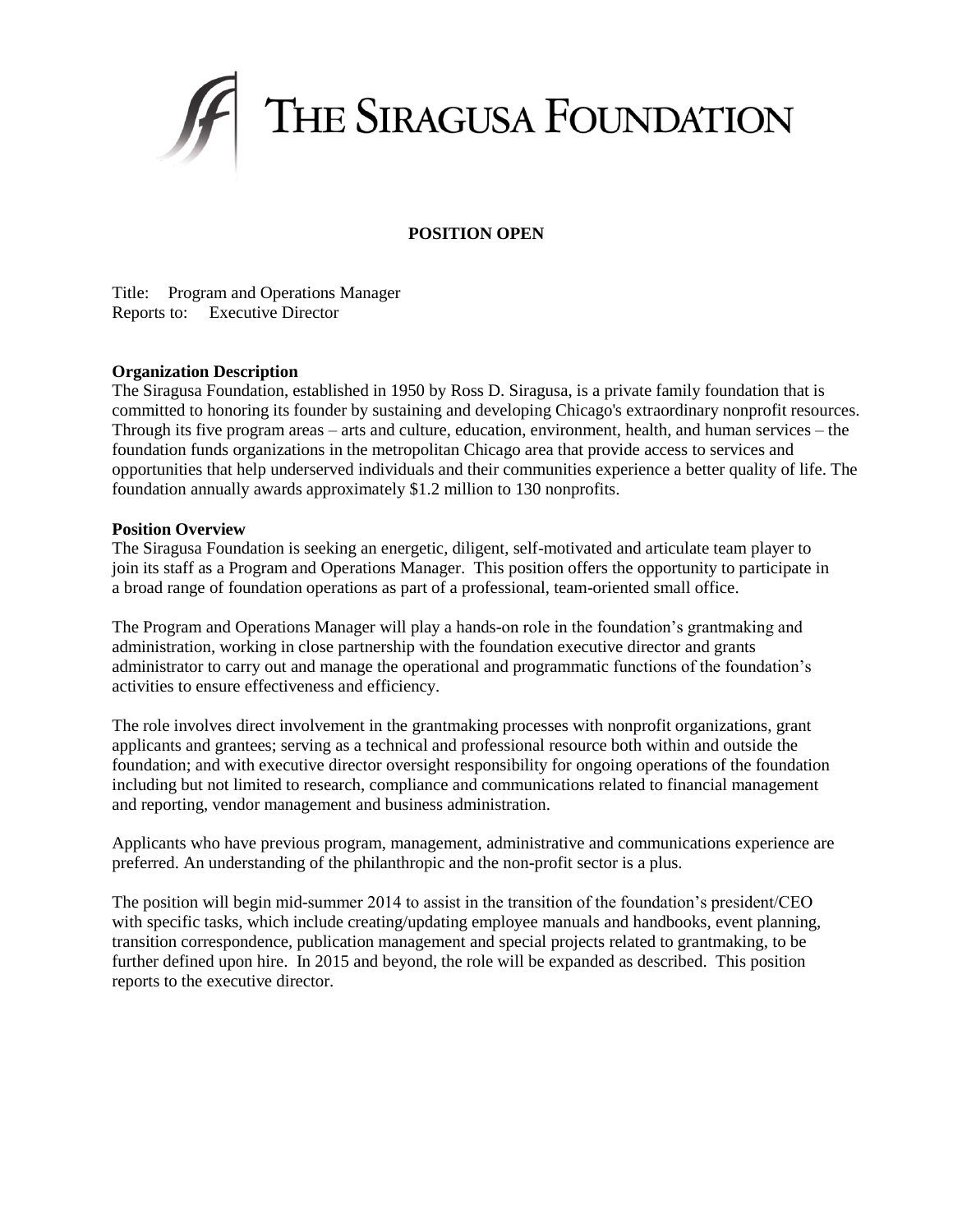

## **POSITION OPEN**

Title: Program and Operations Manager Reports to: Executive Director

#### **Organization Description**

The Siragusa Foundation, established in 1950 by [Ross D. Siragusa,](http://siragusa.org/pages/about_our_founder/51.php) is a private family foundation that is committed to honoring its founder by sustaining and developing Chicago's extraordinary nonprofit resources. Through its five program areas – arts and culture, education, environment, health, and human services – the foundation funds organizations in the metropolitan Chicago area that provide access to services and opportunities that help underserved individuals and their communities experience a better quality of life. The foundation annually awards approximately \$1.2 million to 130 nonprofits.

#### **Position Overview**

The Siragusa Foundation is seeking an energetic, diligent, self-motivated and articulate team player to join its staff as a Program and Operations Manager. This position offers the opportunity to participate in a broad range of foundation operations as part of a professional, team-oriented small office.

The Program and Operations Manager will play a hands-on role in the foundation's grantmaking and administration, working in close partnership with the foundation executive director and grants administrator to carry out and manage the operational and programmatic functions of the foundation's activities to ensure effectiveness and efficiency.

The role involves direct involvement in the grantmaking processes with nonprofit organizations, grant applicants and grantees; serving as a technical and professional resource both within and outside the foundation; and with executive director oversight responsibility for ongoing operations of the foundation including but not limited to research, compliance and communications related to financial management and reporting, vendor management and business administration.

Applicants who have previous program, management, administrative and communications experience are preferred. An understanding of the philanthropic and the non-profit sector is a plus.

The position will begin mid-summer 2014 to assist in the transition of the foundation's president/CEO with specific tasks, which include creating/updating employee manuals and handbooks, event planning, transition correspondence, publication management and special projects related to grantmaking, to be further defined upon hire. In 2015 and beyond, the role will be expanded as described. This position reports to the executive director.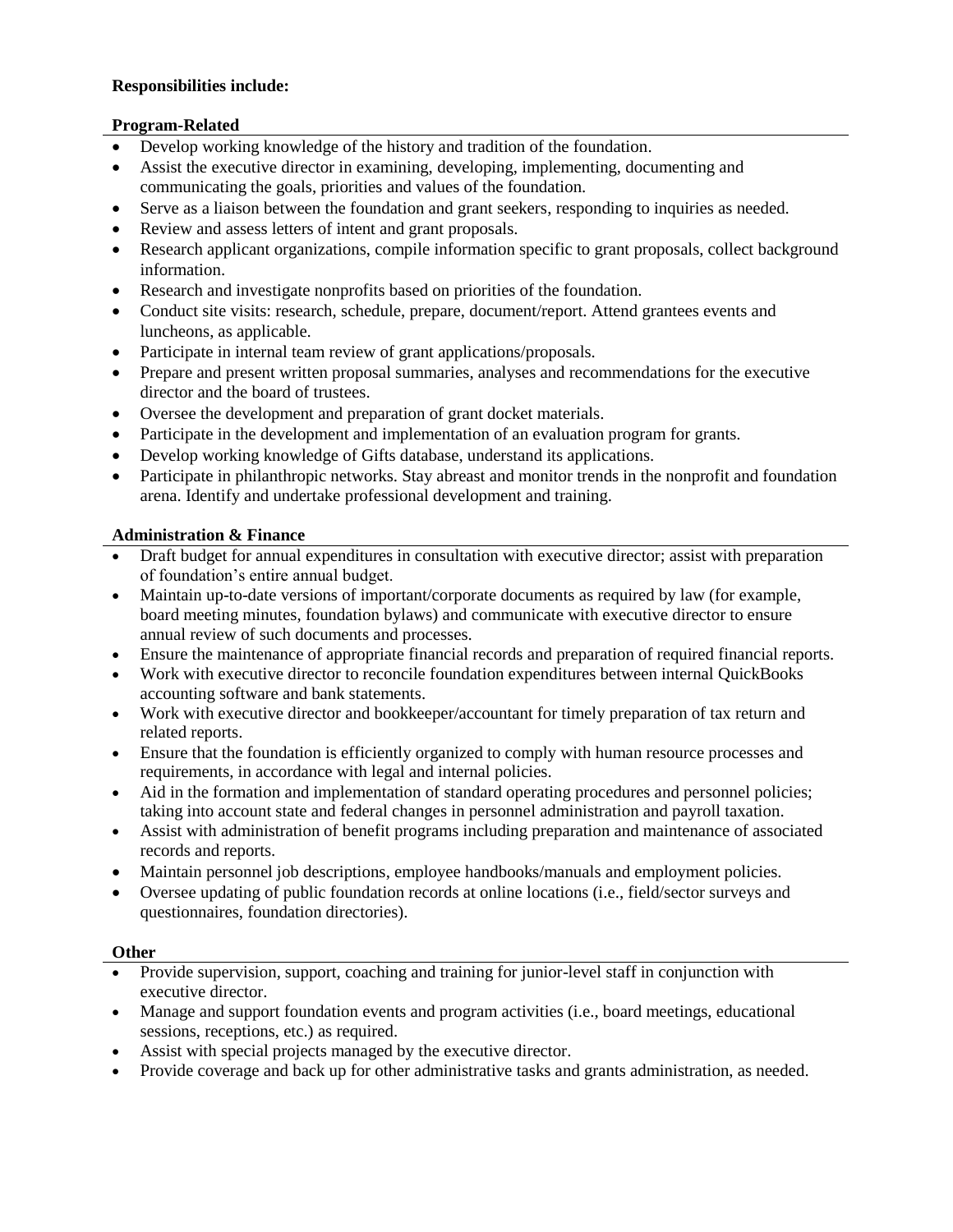# **Responsibilities include:**

## **Program-Related**

- Develop working knowledge of the history and tradition of the foundation.
- Assist the executive director in examining, developing, implementing, documenting and communicating the goals, priorities and values of the foundation.
- Serve as a liaison between the foundation and grant seekers, responding to inquiries as needed.
- Review and assess letters of intent and grant proposals.
- Research applicant organizations, compile information specific to grant proposals, collect background information.
- Research and investigate nonprofits based on priorities of the foundation.
- Conduct site visits: research, schedule, prepare, document/report. Attend grantees events and luncheons, as applicable.
- Participate in internal team review of grant applications/proposals.
- Prepare and present written proposal summaries, analyses and recommendations for the executive director and the board of trustees.
- Oversee the development and preparation of grant docket materials.
- Participate in the development and implementation of an evaluation program for grants.
- Develop working knowledge of Gifts database, understand its applications.
- Participate in philanthropic networks. Stay abreast and monitor trends in the nonprofit and foundation arena. Identify and undertake professional development and training.

## **Administration & Finance**

- Draft budget for annual expenditures in consultation with executive director; assist with preparation of foundation's entire annual budget.
- Maintain up-to-date versions of important/corporate documents as required by law (for example, board meeting minutes, foundation bylaws) and communicate with executive director to ensure annual review of such documents and processes.
- Ensure the maintenance of appropriate financial records and preparation of required financial reports.
- Work with executive director to reconcile foundation expenditures between internal QuickBooks accounting software and bank statements.
- Work with executive director and bookkeeper/accountant for timely preparation of tax return and related reports.
- Ensure that the foundation is efficiently organized to comply with human resource processes and requirements, in accordance with legal and internal policies.
- Aid in the formation and implementation of standard operating procedures and personnel policies; taking into account state and federal changes in personnel administration and payroll taxation.
- Assist with administration of benefit programs including preparation and maintenance of associated records and reports.
- Maintain personnel job descriptions, employee handbooks/manuals and employment policies.
- Oversee updating of public foundation records at online locations (i.e., field/sector surveys and questionnaires, foundation directories).

#### **Other**

- Provide supervision, support, coaching and training for junior-level staff in conjunction with executive director.
- Manage and support foundation events and program activities (i.e., board meetings, educational sessions, receptions, etc.) as required.
- Assist with special projects managed by the executive director.
- Provide coverage and back up for other administrative tasks and grants administration, as needed.